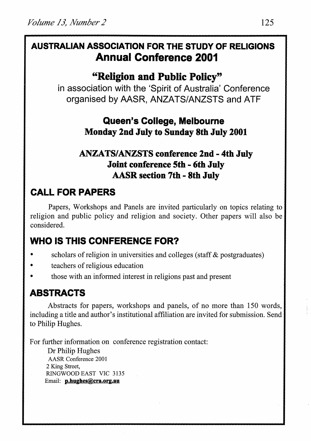### **AUSTRALIAN ASSOCIATION FOR THE STUDY OF RELIGIONS Annual Conference 2001**

## **"Religion and Public Policy"**

in association with the 'Spirit of Australia' Conference organised by AASR, ANZATS/ANZSTS and ATF

### **Queen's College, Melbourne Monday 2nd July to Sunday 8th July 2001**

### **ANZATS/ANZSTS conference 2nd- 4th July Joint conference 5th - 6th July AASR section 7th - 8th July**

## **CALL FOR PAPERS**

Papers, Workshops and Panels are invited particularly on topics relating to religion and public policy and religion and society. Other papers will also be considered.

## **WHO IS THIS CONFERENCE FOR?**

- scholars of religion in universities and colleges (staff & postgraduates)
- teachers of religious education
- those with an informed interest in religions past and present

## **ABSTRACTS**

Abstracts for papers, workshops and panels, of no more than 150 words, including a title and author's institutional affiliation are invited for submission. Send to Philip Hughes.

For further information on conference registration contact:

Dr Philip Hughes AASR Conference 2001 2 King Street, RINGWOOD EAST VIC 3135 Email: p.hughes@cra.org.au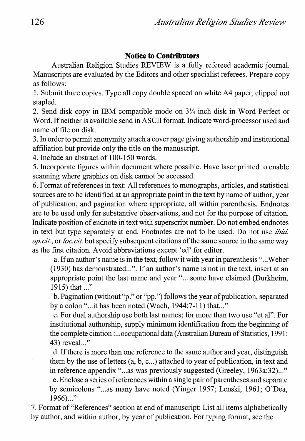#### **Notice to Contributors**

Australian Religion Studies REVIEW is a fully refereed academic journal. Manuscripts are evaluated by the Editors and other specialist referees. Prepare copy as follows:

1. Submit three copies. Type all copy double spaced on white A4 paper, clipped not stapled.

2. Send disk copy in IBM compatible mode on *3Y4* inch disk in Word Perfect or Word. If neither is available send in ASCII format. Indicate word-processor used and name of file on disk.

3. In order to permit anonymity attach a cover page giving authorship and institutional affiliation but provide only the title on the manuscript.

4. Include an abstract of 100-150 words.

5. Incorporate figures within document where possible. Have laser printed to enable scanning where graphics on disk cannot be accessed.

6. Format of references in text: All references to monographs, articles, and statistical sources are to be identified at an appropriate point in the text by name of author, year of publication, and pagination where appropriate, all within parenthesis. Endnotes are to be used only for substantive observations, and not for the purpose of citation. Indicate position of endnote in text with superscript number. Do not embed endnotes in text but type separately at end. Footnotes are not to be used. Do not use *ibid. op. cit.,* or *loc. cit.* but specify subsequent citations of the same source in the same way as the first citation. Avoid abbreviations except 'ed' for editor.

a. If an author's name is in the text, follow it with year in parenthesis " ... Weber (1930) has demonstrated...". If an author's name is not in the text, insert at an appropriate point the last name and year "....some have claimed (Durkheim, 1915) that  $...\n$ 

b. Pagination (without "p." or "pp.") follows the year of publication, separated by a colon "...it has been noted (Wach, 1944:7-11) that..."

c. For dual authorship use both last names; for more than two use "et al". For institutional authorship, supply minimum identification from the beginning of the complete citation :... occupational data (Australian Bureau of Statistics, 1991: 43) reveal..."

d. If there is more than one reference to the same author and year, distinguish them by the use of letters  $(a, b, c...)$  attached to year of publication, in text and in reference appendix "... as was previously suggested (Greeley, 1963a:32)..."

e. Enclose a series of references within a single pair of parentheses and separate by semicolons "... as many have noted (Yinger 1957; Lenski, 1961; O'Dea,  $1966...$ "

7. Format of"References" section at end of manuscript: List all items alphabetically by author, and within author, by year of publication. For typing format, see the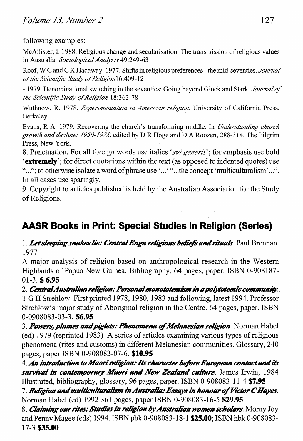following examples:

McAllister, I. 1988. Religious change and secularisation: The transmission of religious values in Australia. *Sociological Analysis* 49:249-63

Roof, W C and C K Hadaway. 1977. Shifts in religious preferences- the mid-seventies. *Journal*  of the Scientific Study of Religion<sup>16:409-12</sup>

- 1979. Denominational switching in the seventies: Going beyond Glock and Stark. *Journal of the Scient!fic Study o.f Religion* 18:363-78

Wuthnow, R. 1978. *Experimentation in American religion.* University of California Press, Berkeley

Evans, R A. 1979. Recovering the church's transforming middle. In *Understanding church growth and decline: 1950-1978,* edited by DR Hoge and D A Roozen, 288-314. The Pilgrim Press, New York.

8. Punctuation. For all foreign words use italics 'sui generis'; for emphasis use bold **'extremely';** for direct quotations within the text (as opposed to indented quotes) use "..."; to otherwise isolate a word of phrase use '...' "... the concept 'multiculturalism'...". In all cases use sparingly.

9. Copyright to articles published is held by the Australian Association for the Study of Religions.

# **AASR Books in Print: Special Studies in Religion (Series)**

#### 1. Let sleeping snakes lie: Central Enga religious beliefs and rituals. Paul Brennan. 1977

A major analysis of religion based on anthropological research in the Western Highlands of Papua New Guinea. Bibliography, 64 pages, paper. ISBN 0-908187- 01-3. **\$6.95** 

2. *Cenfl'aiAustra/ian religion: Personal monototemism in apo(ptotemic community.*  T G H Strehlow. First printed 1978, 1980, 1983 and following, latest 1994. Professor Strehlow's major study of Aboriginal religion in the Centre. 64 pages, paper. ISBN 0-0908083-03-3. **\$6.95** 

3. *Powers, plumes and piglets: Phenomena of Melanesian religion*. Norman Habel ( ed) 1979 (reprinted 1983) A series of articles examining various types of religious phenomena (rites and customs) in different Melanesian communities. Glossary, 240 pages, paper ISBN 0-908083-07-6. **\$10.95** 

4. An introduction to Maori religion: Its character before European contact and its *survival in contemporazy Maori anti New Zealand culture.* James Irwin, 1984 Illustrated, bibliography, glossary, 96 pages, paper. ISBN 0-908083-11-4 **\$7.95** 

7. *Religion and multiculturalism in Australia: Essays in honour of Victor C Hayes.* Norman Habel (ed) 1992 361 pages, paper ISBN 0-908083-16-5 **\$29.95** 

8. *Claiming our rites: Studies in religion by Australian women scholars*. Morny Joy and Penny Magee ( eds) 1994. ISBN pbk 0-908083-18-1 **\$25.00;** ISBN hbk 0-908083- 17-3 **\$35.00**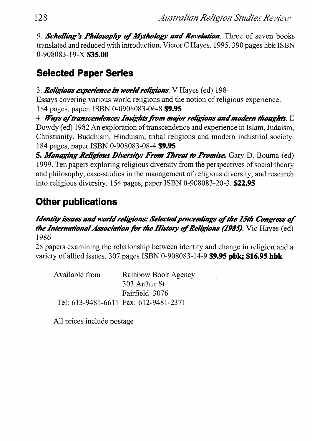9. Schelling's Philosophy of Mythology and Revelation. Three of seven books translated and reduced with introduction. Victor C Haves, 1995, 390 pages hbk ISBN  $0-908083-19-X$  \$35.00

### **Selected Paper Series**

#### 3. Religious experience in world religions. V Hayes (ed) 198-

Essays covering various world religions and the notion of religious experience. 184 pages, paper. ISBN 0-0908083-06-8 \$9.95

4. Ways of transcendence: Insights from major religions and modern thoughts. E Dowdy (ed) 1982 An exploration of transcendence and experience in Islam, Judaism, Christianity, Buddhism, Hinduism, tribal religions and modern industrial society. 184 pages, paper ISBN 0-908083-08-4 \$9.95

5. Managing Religious Diversity: From Threat to Promise. Gary D. Bouma (ed) 1999. Ten papers exploring religious diversity from the perspectives of social theory and philosophy, case-studies in the management of religious diversity, and research into religious diversity. 154 pages, paper ISBN 0-908083-20-3. \$22.95

# **Other publications**

#### Identity issues and world religions: Selected proceedings of the 15th Congress of the International Association for the History of Religions (1985). Vic Hayes (ed) 1986

28 papers examining the relationship between identity and change in religion and a variety of allied issues. 307 pages ISBN 0-908083-14-9 \$9.95 pbk; \$16.95 hbk

| Available from | Rainbow Book Agency                   |
|----------------|---------------------------------------|
|                | 303 Arthur St                         |
|                | Fairfield 3076                        |
|                | Tel: 613-9481-6611 Fax: 612-9481-2371 |

All prices include postage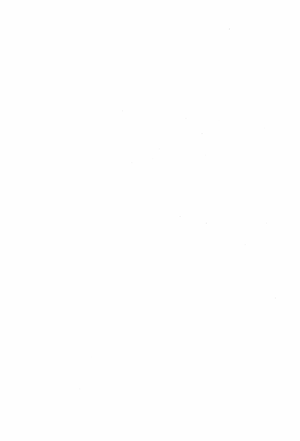$\label{eq:2.1} \mathcal{L}(\mathcal{L}^{\text{max}}_{\text{max}}(\mathcal{L}^{\text{max}}_{\text{max}}(\mathcal{L}^{\text{max}}_{\text{max}}))$  $\label{eq:2.1} \mathcal{L}(\mathcal{L}^{\text{max}}_{\mathcal{L}}(\mathcal{L}^{\text{max}}_{\mathcal{L}}),\mathcal{L}^{\text{max}}_{\mathcal{L}}(\mathcal{L}^{\text{max}}_{\mathcal{L}}))$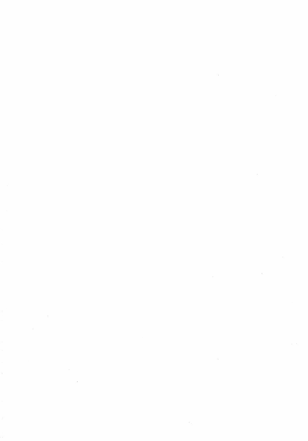$\label{eq:2.1} \begin{split} \mathcal{L}_{\text{max}}(\mathbf{r}) = \mathcal{L}_{\text{max}}(\mathbf{r}) \,, \end{split}$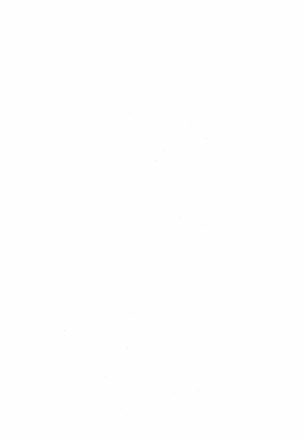$\label{eq:2.1} \begin{split} \mathcal{L}_{\text{max}}(\mathbf{r}) = \mathcal{L}_{\text{max}}(\mathbf{r}) \mathcal{L}_{\text{max}}(\mathbf{r}) \mathcal{L}_{\text{max}}(\mathbf{r}) \mathcal{L}_{\text{max}}(\mathbf{r}) \mathcal{L}_{\text{max}}(\mathbf{r}) \mathcal{L}_{\text{max}}(\mathbf{r}) \mathcal{L}_{\text{max}}(\mathbf{r}) \mathcal{L}_{\text{max}}(\mathbf{r}) \mathcal{L}_{\text{max}}(\mathbf{r}) \mathcal{L}_{\text{max}}(\mathbf{r}) \mathcal{L}_{\text{max}}(\mathbf{r}) \$  $\mathcal{F}(\mathcal{A})$  and  $\mathcal{F}(\mathcal{A})$  and  $\mathcal{F}(\mathcal{A})$